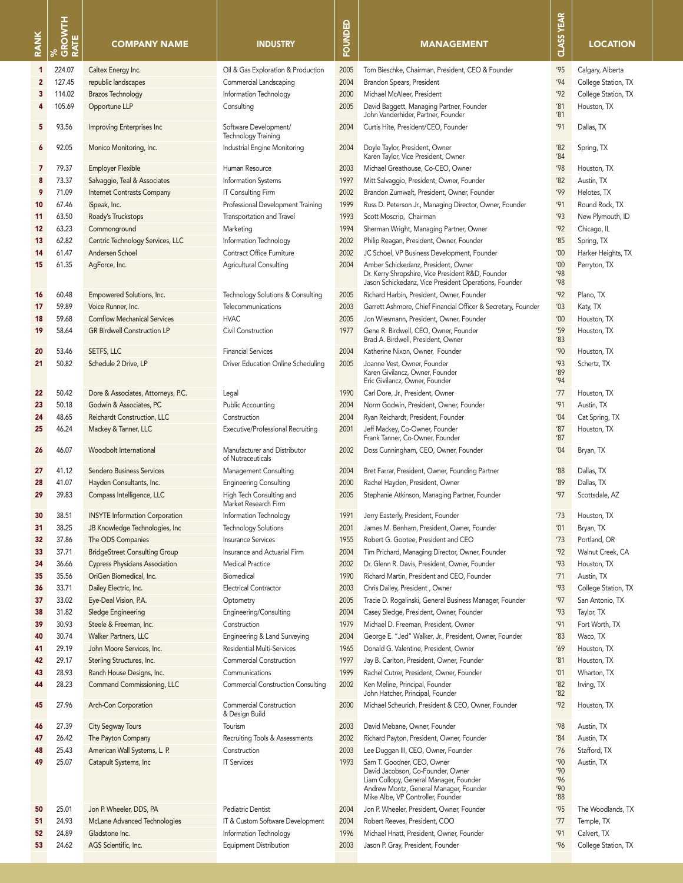| <b>RANK</b>    | %<br>GROWTH<br>RATE | <b>COMPANY NAME</b>                   | <b>INDUSTRY</b>                                        | FOUNDED | <b>MANAGEMENT</b>                                                                                                                                                                        | <b>CLASS YEAR</b>               | <b>LOCATION</b>     |
|----------------|---------------------|---------------------------------------|--------------------------------------------------------|---------|------------------------------------------------------------------------------------------------------------------------------------------------------------------------------------------|---------------------------------|---------------------|
| 1              | 224.07              | Caltex Energy Inc.                    | Oil & Gas Exploration & Production                     | 2005    | Tom Bieschke, Chairman, President, CEO & Founder                                                                                                                                         | '95                             | Calgary, Alberta    |
| $\overline{2}$ | 127.45              | republic landscapes                   | Commercial Landscaping                                 | 2004    | Brandon Spears, President                                                                                                                                                                | '94                             | College Station, TX |
| 3              | 114.02              | <b>Brazos Technology</b>              | Information Technology                                 | 2000    | Michael McAleer, President                                                                                                                                                               | '92                             | College Station, TX |
| 4              | 105.69              | Opportune LLP                         | Consulting                                             | 2005    | David Baggett, Managing Partner, Founder                                                                                                                                                 | '81                             | Houston, TX         |
| 5              | 93.56               | Improving Enterprises Inc             | Software Development/                                  | 2004    | John Vanderhider, Partner, Founder<br>Curtis Hite, President/CEO, Founder                                                                                                                | '81<br>'91                      | Dallas, TX          |
| 6              | 92.05               | Monico Monitoring, Inc.               | Technology Training<br>Industrial Engine Monitoring    | 2004    | Doyle Taylor, President, Owner<br>Karen Taylor, Vice President, Owner                                                                                                                    | '82<br>'84                      | Spring, TX          |
| 7              | 79.37               | <b>Employer Flexible</b>              | Human Resource                                         | 2003    | Michael Greathouse, Co-CEO, Owner                                                                                                                                                        | '98                             | Houston, TX         |
| 8              | 73.37               | Salvaggio, Teal & Associates          | Information Systems                                    | 1997    | Mitt Salvaggio, President, Owner, Founder                                                                                                                                                | '82                             | Austin, TX          |
| 9              | 71.09               | <b>Internet Contrasts Company</b>     | <b>IT Consulting Firm</b>                              | 2002    | Brandon Zumwalt, President, Owner, Founder                                                                                                                                               | '99'                            | Helotes, TX         |
| 10             | 67.46               | iSpeak, Inc.                          | Professional Development Training                      | 1999    | Russ D. Peterson Jr., Managing Director, Owner, Founder                                                                                                                                  | '91                             | Round Rock, TX      |
| 11             | 63.50               | Roady's Truckstops                    | Transportation and Travel                              | 1993    | Scott Moscrip, Chairman                                                                                                                                                                  | '93                             | New Plymouth, ID    |
| 12             | 63.23               | Commonground                          | Marketing                                              | 1994    | Sherman Wright, Managing Partner, Owner                                                                                                                                                  | '92                             | Chicago, IL         |
| 13             | 62.82               | Centric Technology Services, LLC      | Information Technology                                 | 2002    | Philip Reagan, President, Owner, Founder                                                                                                                                                 | '85                             | Spring, TX          |
| 14             | 61.47               | Andersen Schoel                       | Contract Office Furniture                              | 2002    | JC Schoel, VP Business Development, Founder                                                                                                                                              | '00                             | Harker Heights, TX  |
| 15             | 61.35               | AgForce, Inc.                         | <b>Agricultural Consulting</b>                         | 2004    | Amber Schickedanz, President, Owner                                                                                                                                                      | '00                             | Perryton, TX        |
|                |                     |                                       |                                                        |         | Dr. Kerry Shropshire, Vice President R&D, Founder<br>Jason Schickedanz, Vice President Operations, Founder                                                                               | '98<br>'98                      |                     |
| 16             | 60.48               | Empowered Solutions, Inc.             | Technology Solutions & Consulting                      | 2005    | Richard Harbin, President, Owner, Founder                                                                                                                                                | '92                             | Plano, TX           |
| 17             | 59.89               | Voice Runner, Inc.                    | Telecommunications                                     | 2003    | Garrett Ashmore, Chief Financial Officer & Secretary, Founder                                                                                                                            | '03                             | Katy, TX            |
| 18             | 59.68               | <b>Comflow Mechanical Services</b>    | <b>HVAC</b>                                            | 2005    | Jon Wiesmann, President, Owner, Founder                                                                                                                                                  | '00                             | Houston, TX         |
| 19             | 58.64               | <b>GR Birdwell Construction LP</b>    | Civil Construction                                     | 1977    | Gene R. Birdwell, CEO, Owner, Founder<br>Brad A. Birdwell, President, Owner                                                                                                              | '59<br>'83                      | Houston, TX         |
| 20             | 53.46               | SETFS, LLC                            | <b>Financial Services</b>                              | 2004    | Katherine Nixon, Owner, Founder                                                                                                                                                          | '90                             | Houston, TX         |
| 21             | 50.82               | Schedule 2 Drive, LP                  | Driver Education Online Scheduling                     | 2005    | Joanne Vest, Owner, Founder<br>Karen Givilancz, Owner, Founder<br>Eric Givilancz, Owner, Founder                                                                                         | '93<br>'89<br>'94               | Schertz, TX         |
| 22             | 50.42               | Dore & Associates, Attorneys, P.C.    | Legal                                                  | 1990    | Carl Dore, Jr., President, Owner                                                                                                                                                         | '77                             | Houston, TX         |
| 23             | 50.18               | Godwin & Associates, PC               | <b>Public Accounting</b>                               | 2004    | Norm Godwin, President, Owner, Founder                                                                                                                                                   | '91                             | Austin, TX          |
| 24             | 48.65               | Reichardt Construction, LLC           | Construction                                           | 2004    | Ryan Reichardt, President, Founder                                                                                                                                                       | '04                             | Cat Spring, TX      |
| 25             | 46.24               | Mackey & Tanner, LLC                  | Executive/Professional Recruiting                      | 2001    | Jeff Mackey, Co-Owner, Founder                                                                                                                                                           | '87                             | Houston, TX         |
| 26             | 46.07               | Woodbolt International                | Manufacturer and Distributor                           | 2002    | Frank Tanner, Co-Owner, Founder<br>Doss Cunningham, CEO, Owner, Founder                                                                                                                  | '87<br>'04                      | Bryan, TX           |
|                | 41.12               | <b>Sendero Business Services</b>      | of Nutraceuticals                                      | 2004    |                                                                                                                                                                                          | '88                             | Dallas, TX          |
| 27<br>28       | 41.07               | Hayden Consultants, Inc.              | Management Consulting<br><b>Engineering Consulting</b> | 2000    | Bret Farrar, President, Owner, Founding Partner<br>Rachel Hayden, President, Owner                                                                                                       | '89                             | Dallas, TX          |
| 29             | 39.83               | Compass Intelligence, LLC             | High Tech Consulting and<br>Market Research Firm       | 2005    | Stephanie Atkinson, Managing Partner, Founder                                                                                                                                            | '97                             | Scottsdale, AZ      |
| 30             | 38.51               | <b>INSYTE Information Corporation</b> | Information Technology                                 | 1991    | Jerry Easterly, President, Founder                                                                                                                                                       | 73                              | Houston, TX         |
| 31             | 38.25               | JB Knowledge Technologies, Inc        | <b>Technology Solutions</b>                            | 2001    | James M. Benham, President, Owner, Founder                                                                                                                                               | '01                             | Bryan, TX           |
| 32             | 37.86               | The ODS Companies                     | <b>Insurance Services</b>                              | 1955    | Robert G. Gootee, President and CEO                                                                                                                                                      | 73                              | Portland, OR        |
| 33             | 37.71               | <b>BridgeStreet Consulting Group</b>  | Insurance and Actuarial Firm                           | 2004    | Tim Prichard, Managing Director, Owner, Founder                                                                                                                                          | '92                             | Walnut Creek, CA    |
| 34             | 36.66               | <b>Cypress Physicians Association</b> | <b>Medical Practice</b>                                | 2002    | Dr. Glenn R. Davis, President, Owner, Founder                                                                                                                                            | '93                             | Houston, TX         |
| 35             | 35.56               | OriGen Biomedical, Inc.               | Biomedical                                             | 1990    | Richard Martin, President and CEO, Founder                                                                                                                                               | 71                              | Austin, TX          |
| 36             | 33.71               | Dailey Electric, Inc.                 | <b>Electrical Contractor</b>                           | 2003    | Chris Dailey, President, Owner                                                                                                                                                           | '93                             | College Station, TX |
| 37             | 33.02               | Eye-Deal Vision, P.A.                 | Optometry                                              | 2005    | Tracie D. Rogalinski, General Business Manager, Founder                                                                                                                                  | '97                             | San Antonio, TX     |
| 38             | 31.82               | Sledge Engineering                    | Engineering/Consulting                                 | 2004    | Casey Sledge, President, Owner, Founder                                                                                                                                                  | '93                             | Taylor, TX          |
| 39             | 30.93               | Steele & Freeman, Inc.                | Construction                                           | 1979    | Michael D. Freeman, President, Owner                                                                                                                                                     | '91                             | Fort Worth, TX      |
| 40             | 30.74               | Walker Partners, LLC                  | Engineering & Land Surveying                           | 2004    | George E. "Jed" Walker, Jr., President, Owner, Founder                                                                                                                                   | '83                             | Waco, TX            |
| 41             | 29.19               | John Moore Services, Inc.             | <b>Residential Multi-Services</b>                      | 1965    | Donald G. Valentine, President, Owner                                                                                                                                                    | '69                             | Houston, TX         |
| 42             | 29.17               | Sterling Structures, Inc.             | Commercial Construction                                | 1997    | Jay B. Carlton, President, Owner, Founder                                                                                                                                                | '81                             | Houston, TX         |
| 43             | 28.93               | Ranch House Designs, Inc.             | Communications                                         | 1999    | Rachel Cutrer, President, Owner, Founder                                                                                                                                                 | '01                             | Wharton, TX         |
| 44             | 28.23               | Command Commissioning, LLC            | <b>Commercial Construction Consulting</b>              | 2002    | Ken Meline, Principal, Founder<br>John Hatcher, Principal, Founder                                                                                                                       | '82<br>'82                      | Irving, TX          |
| 45             | 27.96               | Arch-Con Corporation                  | <b>Commercial Construction</b><br>& Design Build       | 2000    | Michael Scheurich, President & CEO, Owner, Founder                                                                                                                                       | '92                             | Houston, TX         |
| 46             | 27.39               | <b>City Segway Tours</b>              | Tourism                                                | 2003    | David Mebane, Owner, Founder                                                                                                                                                             | '98                             | Austin, TX          |
| 47             | 26.42               | The Payton Company                    | Recruiting Tools & Assessments                         | 2002    | Richard Payton, President, Owner, Founder                                                                                                                                                | '84                             | Austin, TX          |
| 48             | 25.43               | American Wall Systems, L. P.          | Construction                                           | 2003    | Lee Duggan III, CEO, Owner, Founder                                                                                                                                                      | 76                              | Stafford, TX        |
| 49             | 25.07               | Catapult Systems, Inc                 | <b>IT Services</b>                                     | 1993    | Sam T. Goodner, CEO, Owner<br>David Jacobson, Co-Founder, Owner<br>Liam Collopy, General Manager, Founder<br>Andrew Montz, General Manager, Founder<br>Mike Albe, VP Controller, Founder | '90<br>'90<br>'96<br>'90<br>'88 | Austin, TX          |
| 50             | 25.01               | Jon P. Wheeler, DDS, PA               | Pediatric Dentist                                      | 2004    | Jon P. Wheeler, President, Owner, Founder                                                                                                                                                | '95                             | The Woodlands, TX   |
| 51             | 24.93               | McLane Advanced Technologies          | IT & Custom Software Development                       | 2004    | Robert Reeves, President, COO                                                                                                                                                            | 77                              | Temple, TX          |
| 52             | 24.89               | Gladstone Inc.                        | Information Technology                                 | 1996    | Michael Hnatt, President, Owner, Founder                                                                                                                                                 | '91                             | Calvert, TX         |
| 53             | 24.62               | AGS Scientific, Inc.                  | Equipment Distribution                                 | 2003    | Jason P. Gray, President, Founder                                                                                                                                                        | '96                             | College Station, TX |